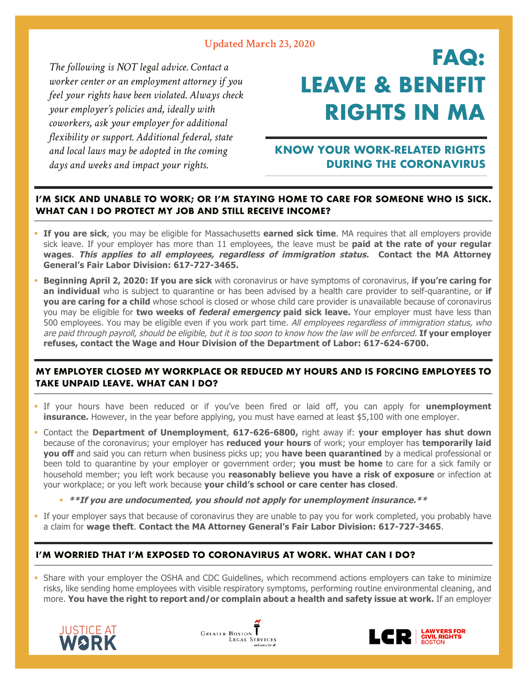## **Updated March 23, 2020**

 *The following is NOT legal advice. Contact a worker center or an employment attorney if you feel your rights have been violated. Always check your employer's policies and, ideally with coworkers, ask your employer for additional flexibility or support. Additional federal, state and local laws may be adopted in the coming days and weeks and impact your rights.* 

# **FAQ: LEAVE & BENEFIT RIGHTS IN MA**

## **KNOW YOUR WORK-RELATED RIGHTS DURING THE CORONAVIRUS**

## **I'M SICK AND UNABLE TO WORK; OR I'M STAYING HOME TO CARE FOR SOMEONE WHO IS SICK. WHAT CAN I DO PROTECT MY JOB AND STILL RECEIVE INCOME?**

- § **If you are sick**, you may be eligible for Massachusetts **earned sick time**. MA requires that all employers provide sick leave. If your employer has more than 11 employees, the leave must be **paid at the rate of your regular wages**. **This applies to all employees, regardless of immigration status. Contact the MA Attorney General's Fair Labor Division: 617-727-3465.**
- § **Beginning April 2, 2020: If you are sick** with coronavirus or have symptoms of coronavirus, **if you're caring for an individual** who is subject to quarantine or has been advised by a health care provider to self-quarantine, or **if you are caring for a child** whose school is closed or whose child care provider is unavailable because of coronavirus you may be eligible for **two weeks of federal emergency paid sick leave.** Your employer must have less than 500 employees. You may be eligible even if you work part time. All employees regardless of immigration status, who are paid through payroll, should be eligible, but it is too soon to know how the law will be enforced. **If your employer refuses, contact the Wage and Hour Division of the Department of Labor: 617-624-6700.**

## **MY EMPLOYER CLOSED MY WORKPLACE OR REDUCED MY HOURS AND IS FORCING EMPLOYEES TO TAKE UNPAID LEAVE. WHAT CAN I DO?**

- § If your hours have been reduced or if you've been fired or laid off, you can apply for **unemployment insurance.** However, in the year before applying, you must have earned at least \$5,100 with one employer.
- § Contact the **Department of Unemployment**, **617-626-6800,** right away if: **your employer has shut down** because of the coronavirus; your employer has **reduced your hours** of work; your employer has **temporarily laid you off** and said you can return when business picks up; you **have been quarantined** by a medical professional or been told to quarantine by your employer or government order; **you must be home** to care for a sick family or household member; you left work because you **reasonably believe you have a risk of exposure** or infection at your workplace; or you left work because **your child's school or care center has closed**.
	- § **\*\*If you are undocumented, you should not apply for unemployment insurance.\*\***
- If your employer says that because of coronavirus they are unable to pay you for work completed, you probably have a claim for **wage theft**. **Contact the MA Attorney General's Fair Labor Division: 617-727-3465**.

## **I'M WORRIED THAT I'M EXPOSED TO CORONAVIRUS AT WORK. WHAT CAN I DO?**

• Share with your employer the OSHA and CDC Guidelines, which recommend actions employers can take to minimize risks, like sending home employees with visible respiratory symptoms, performing routine environmental cleaning, and more. **You have the right to report and/or complain about a health and safety issue at work.** If an employer